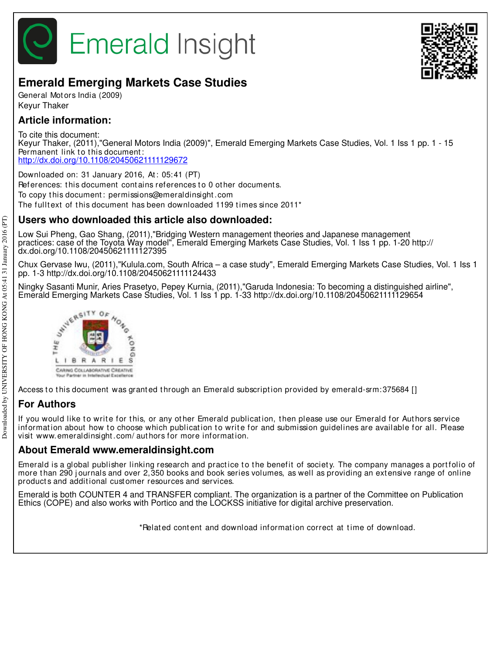

# **Emerald Emerging Markets Case Studies**

General Mot ors India (2009) Keyur Thaker

# **Article information:**

To cite this document: Keyur Thaker, (2011),"General Motors India (2009)", Emerald Emerging Markets Case Studies, Vol. 1 Iss 1 pp. 1 - 15 Permanent link to this document: http://dx.doi.org/10.1108/20450621111129672

Downloaded on: 31 January 2016, At : 05:41 (PT) References: this document contains references to 0 other documents. To copy t his document : permissions@emeraldinsight .com The fulltext of this document has been downloaded 1199 times since 2011<sup>\*</sup>

# **Users who downloaded this article also downloaded:**

Low Sui Pheng, Gao Shang, (2011),"Bridging Western management theories and Japanese management practices: case of the Toyota Way model", Emerald Emerging Markets Case Studies, Vol. 1 Iss 1 pp. 1-20 http:// dx.doi.org/10.1108/20450621111127395

Chux Gervase Iwu, (2011),"Kulula.com, South Africa – a case study", Emerald Emerging Markets Case Studies, Vol. 1 Iss 1 pp. 1-3 http://dx.doi.org/10.1108/20450621111124433

Ningky Sasanti Munir, Aries Prasetyo, Pepey Kurnia, (2011),"Garuda Indonesia: To becoming a distinguished airline", Emerald Emerging Markets Case Studies, Vol. 1 Iss 1 pp. 1-33 http://dx.doi.org/10.1108/20450621111129654<br>  $\begin{bmatrix} 111 & 0.5 \\ 0.5 & 0.5 \end{bmatrix}$ 



Access to this document was granted through an Emerald subscription provided by emerald-srm:375684 []

# **For Authors**

If you would like to write for this, or any other Emerald publication, then please use our Emerald for Authors service information about how to choose which publication to write for and submission guidelines are available for all. Please visit www.emeraldinsight .com/ aut hors for more informat ion.

# **About Emerald www.emeraldinsight.com**

Emerald is a global publisher linking research and practice to the benefit of society. The company manages a portfolio of more than 290 journals and over 2,350 books and book series volumes, as well as providing an extensive range of online product s and addit ional cust omer resources and services.

Emerald is both COUNTER 4 and TRANSFER compliant. The organization is a partner of the Committee on Publication Ethics (COPE) and also works with Portico and the LOCKSS initiative for digital archive preservation.

\*Relat ed cont ent and download informat ion correct at t ime of download.

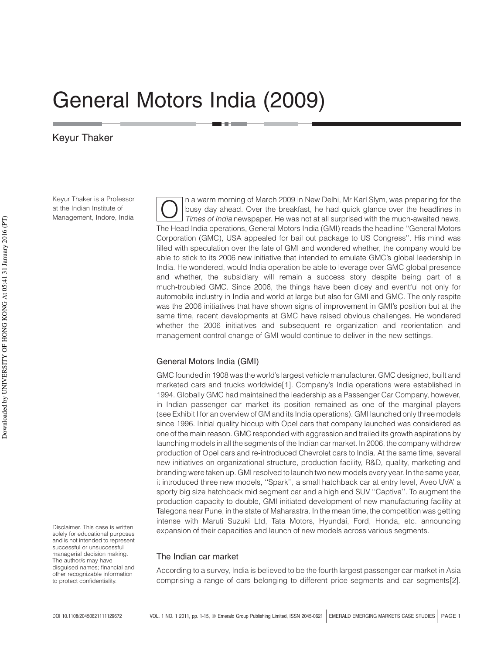# General Motors India (2009)

# Keyur Thaker

Keyur Thaker is a Professor at the Indian Institute of Management, Indore, India

O n a warm morning of March 2009 in New Delhi, Mr Karl Slym, was preparing for the busy day ahead. Over the breakfast, he had quick glance over the headlines in Times of India newspaper. He was not at all surprised with the much-awaited news. The Head India operations, General Motors India (GMI) reads the headline ''General Motors Corporation (GMC), USA appealed for bail out package to US Congress''. His mind was filled with speculation over the fate of GMI and wondered whether, the company would be able to stick to its 2006 new initiative that intended to emulate GMC's global leadership in India. He wondered, would India operation be able to leverage over GMC global presence and whether, the subsidiary will remain a success story despite being part of a much-troubled GMC. Since 2006, the things have been dicey and eventful not only for automobile industry in India and world at large but also for GMI and GMC. The only respite was the 2006 initiatives that have shown signs of improvement in GMI's position but at the same time, recent developments at GMC have raised obvious challenges. He wondered whether the 2006 initiatives and subsequent re organization and reorientation and management control change of GMI would continue to deliver in the new settings.

# General Motors India (GMI)

GMC founded in 1908 was the world's largest vehicle manufacturer. GMC designed, built and marketed cars and trucks worldwide[1]. Company's India operations were established in 1994. Globally GMC had maintained the leadership as a Passenger Car Company, however, in Indian passenger car market its position remained as one of the marginal players (see Exhibit I for an overview of GM and its India operations). GMI launched only three models since 1996. Initial quality hiccup with Opel cars that company launched was considered as one of the main reason. GMC responded with aggression and trailed its growth aspirations by launching models in all the segments of the Indian car market. In 2006, the company withdrew production of Opel cars and re-introduced Chevrolet cars to India. At the same time, several new initiatives on organizational structure, production facility, R&D, quality, marketing and branding were taken up. GMI resolved to launch two new models every year. In the same year, it introduced three new models, ''Spark'', a small hatchback car at entry level, Aveo UVA' a sporty big size hatchback mid segment car and a high end SUV ''Captiva''. To augment the production capacity to double, GMI initiated development of new manufacturing facility at Talegona near Pune, in the state of Maharastra. In the mean time, the competition was getting intense with Maruti Suzuki Ltd, Tata Motors, Hyundai, Ford, Honda, etc. announcing expansion of their capacities and launch of new models across various segments.

# The Indian car market

According to a survey, India is believed to be the fourth largest passenger car market in Asia comprising a range of cars belonging to different price segments and car segments[2].

Downloaded by UNIVERSITY OF HONG KONG At 05:41 31 January 2016 (PT) Downloaded by UNIVERSITY OF HONG KONG At 05:41 31 January 2016 (PT)

> solely for educational purposes and is not intended to represent successful or unsuccessful managerial decision making. The author/s may have disguised names; financial and other recognizable information to protect confidentiality.

Disclaimer. This case is written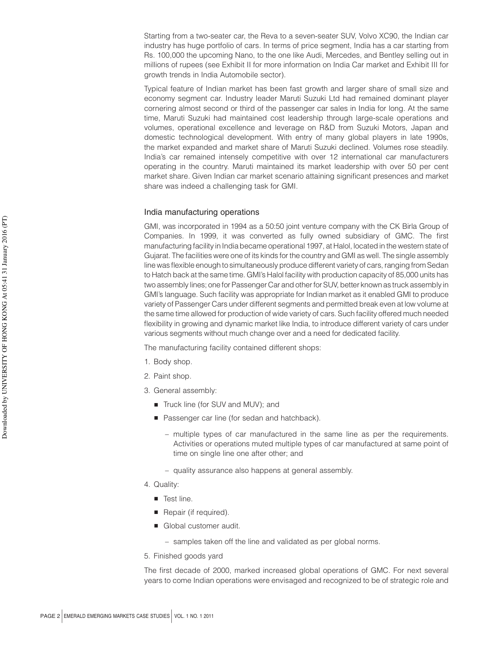Starting from a two-seater car, the Reva to a seven-seater SUV, Volvo XC90, the Indian car industry has huge portfolio of cars. In terms of price segment, India has a car starting from Rs. 100,000 the upcoming Nano, to the one like Audi, Mercedes, and Bentley selling out in millions of rupees (see Exhibit II for more information on India Car market and Exhibit III for growth trends in India Automobile sector).

Typical feature of Indian market has been fast growth and larger share of small size and economy segment car. Industry leader Maruti Suzuki Ltd had remained dominant player cornering almost second or third of the passenger car sales in India for long. At the same time, Maruti Suzuki had maintained cost leadership through large-scale operations and volumes, operational excellence and leverage on R&D from Suzuki Motors, Japan and domestic technological development. With entry of many global players in late 1990s, the market expanded and market share of Maruti Suzuki declined. Volumes rose steadily. India's car remained intensely competitive with over 12 international car manufacturers operating in the country. Maruti maintained its market leadership with over 50 per cent market share. Given Indian car market scenario attaining significant presences and market share was indeed a challenging task for GMI.

# India manufacturing operations

GMI, was incorporated in 1994 as a 50:50 joint venture company with the CK Birla Group of Companies. In 1999, it was converted as fully owned subsidiary of GMC. The first manufacturing facility in India became operational 1997, at Halol, located in the western state of Gujarat. The facilities were one of its kinds for the country and GMI as well. The single assembly line was flexible enough to simultaneously produce different variety of cars, ranging from Sedan to Hatch back at the same time. GMI's Halol facility with production capacity of 85,000 units has two assembly lines; one for Passenger Car and other for SUV, better known as truck assembly in GMI's language. Such facility was appropriate for Indian market as it enabled GMI to produce variety of Passenger Cars under different segments and permitted break even at low volume at the same time allowed for production of wide variety of cars. Such facility offered much needed flexibility in growing and dynamic market like India, to introduce different variety of cars under various segments without much change over and a need for dedicated facility.

The manufacturing facility contained different shops:

- 1. Body shop.
- 2. Paint shop.
- 3. General assembly:
	- Truck line (for SUV and MUV); and
	- **Passenger car line (for sedan and hatchback).** 
		- multiple types of car manufactured in the same line as per the requirements. Activities or operations muted multiple types of car manufactured at same point of time on single line one after other; and
		- quality assurance also happens at general assembly.
- 4. Quality:
	- $\blacksquare$  Test line.
	- **B** Repair (if required).
	- Global customer audit
		- samples taken off the line and validated as per global norms.
- 5. Finished goods yard

The first decade of 2000, marked increased global operations of GMC. For next several years to come Indian operations were envisaged and recognized to be of strategic role and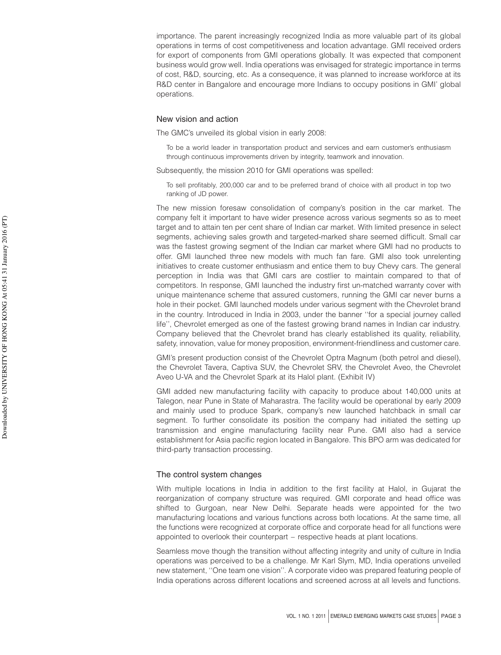importance. The parent increasingly recognized India as more valuable part of its global operations in terms of cost competitiveness and location advantage. GMI received orders for export of components from GMI operations globally. It was expected that component business would grow well. India operations was envisaged for strategic importance in terms of cost, R&D, sourcing, etc. As a consequence, it was planned to increase workforce at its R&D center in Bangalore and encourage more Indians to occupy positions in GMI' global operations.

#### New vision and action

The GMC's unveiled its global vision in early 2008:

To be a world leader in transportation product and services and earn customer's enthusiasm through continuous improvements driven by integrity, teamwork and innovation.

Subsequently, the mission 2010 for GMI operations was spelled:

To sell profitably, 200,000 car and to be preferred brand of choice with all product in top two ranking of JD power.

The new mission foresaw consolidation of company's position in the car market. The company felt it important to have wider presence across various segments so as to meet target and to attain ten per cent share of Indian car market. With limited presence in select segments, achieving sales growth and targeted-marked share seemed difficult. Small car was the fastest growing segment of the Indian car market where GMI had no products to offer. GMI launched three new models with much fan fare. GMI also took unrelenting initiatives to create customer enthusiasm and entice them to buy Chevy cars. The general perception in India was that GMI cars are costlier to maintain compared to that of competitors. In response, GMI launched the industry first un-matched warranty cover with unique maintenance scheme that assured customers, running the GMI car never burns a hole in their pocket. GMI launched models under various segment with the Chevrolet brand in the country. Introduced in India in 2003, under the banner ''for a special journey called life'', Chevrolet emerged as one of the fastest growing brand names in Indian car industry. Company believed that the Chevrolet brand has clearly established its quality, reliability, safety, innovation, value for money proposition, environment-friendliness and customer care.

GMI's present production consist of the Chevrolet Optra Magnum (both petrol and diesel), the Chevrolet Tavera, Captiva SUV, the Chevrolet SRV, the Chevrolet Aveo, the Chevrolet Aveo U-VA and the Chevrolet Spark at its Halol plant. (Exhibit IV)

GMI added new manufacturing facility with capacity to produce about 140,000 units at Talegon, near Pune in State of Maharastra. The facility would be operational by early 2009 and mainly used to produce Spark, company's new launched hatchback in small car segment. To further consolidate its position the company had initiated the setting up transmission and engine manufacturing facility near Pune. GMI also had a service establishment for Asia pacific region located in Bangalore. This BPO arm was dedicated for third-party transaction processing.

# The control system changes

With multiple locations in India in addition to the first facility at Halol, in Gujarat the reorganization of company structure was required. GMI corporate and head office was shifted to Gurgoan, near New Delhi. Separate heads were appointed for the two manufacturing locations and various functions across both locations. At the same time, all the functions were recognized at corporate office and corporate head for all functions were appointed to overlook their counterpart – respective heads at plant locations.

Seamless move though the transition without affecting integrity and unity of culture in India operations was perceived to be a challenge. Mr Karl Slym, MD, India operations unveiled new statement, ''One team one vision''. A corporate video was prepared featuring people of India operations across different locations and screened across at all levels and functions.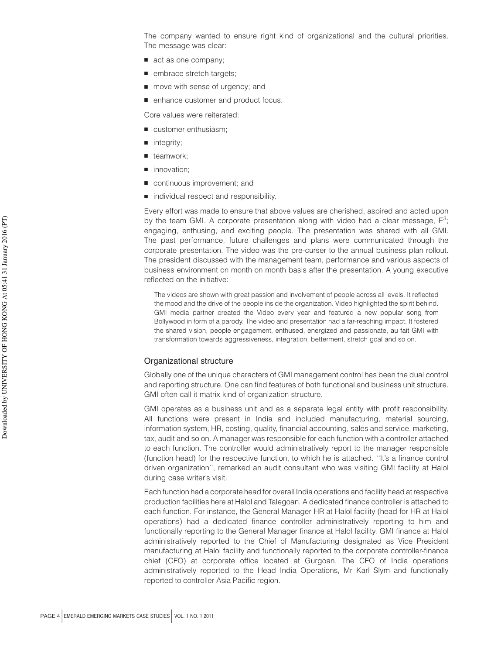The company wanted to ensure right kind of organizational and the cultural priorities. The message was clear:

- act as one company;
- $\blacksquare$  embrace stretch targets;
- **n** move with sense of urgency; and
- **B** enhance customer and product focus.

Core values were reiterated:

- customer enthusiasm;
- integrity;
- $\blacksquare$  teamwork;
- innovation:
- continuous improvement; and
- $\blacksquare$  individual respect and responsibility.

Every effort was made to ensure that above values are cherished, aspired and acted upon by the team GMI. A corporate presentation along with video had a clear message,  $E^3$ ; engaging, enthusing, and exciting people. The presentation was shared with all GMI. The past performance, future challenges and plans were communicated through the corporate presentation. The video was the pre-curser to the annual business plan rollout. The president discussed with the management team, performance and various aspects of business environment on month on month basis after the presentation. A young executive reflected on the initiative:

The videos are shown with great passion and involvement of people across all levels. It reflected the mood and the drive of the people inside the organization. Video highlighted the spirit behind. GMI media partner created the Video every year and featured a new popular song from Bollywood in form of a parody. The video and presentation had a far-reaching impact. It fostered the shared vision, people engagement, enthused, energized and passionate, au fait GMI with transformation towards aggressiveness, integration, betterment, stretch goal and so on.

## Organizational structure

Globally one of the unique characters of GMI management control has been the dual control and reporting structure. One can find features of both functional and business unit structure. GMI often call it matrix kind of organization structure.

GMI operates as a business unit and as a separate legal entity with profit responsibility. All functions were present in India and included manufacturing, material sourcing, information system, HR, costing, quality, financial accounting, sales and service, marketing, tax, audit and so on. A manager was responsible for each function with a controller attached to each function. The controller would administratively report to the manager responsible (function head) for the respective function, to which he is attached. ''It's a finance control driven organization'', remarked an audit consultant who was visiting GMI facility at Halol during case writer's visit.

Each function had a corporate head for overall India operations and facility head at respective production facilities here at Halol and Talegoan. A dedicated finance controller is attached to each function. For instance, the General Manager HR at Halol facility (head for HR at Halol operations) had a dedicated finance controller administratively reporting to him and functionally reporting to the General Manager finance at Halol facility. GMI finance at Halol administratively reported to the Chief of Manufacturing designated as Vice President manufacturing at Halol facility and functionally reported to the corporate controller-finance chief (CFO) at corporate office located at Gurgoan. The CFO of India operations administratively reported to the Head India Operations, Mr Karl Slym and functionally reported to controller Asia Pacific region.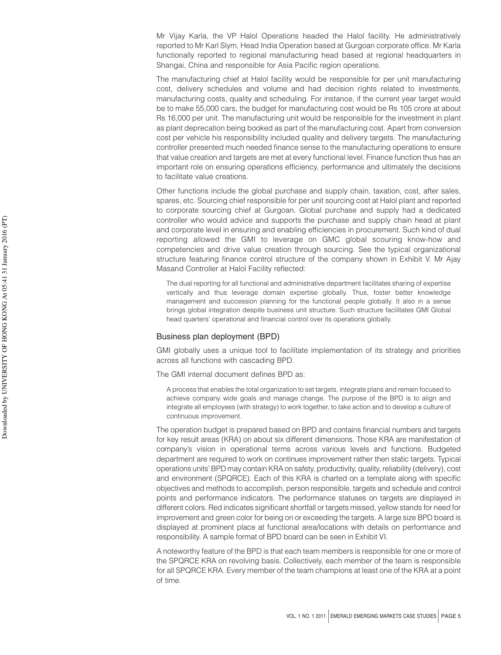Mr Vijay Karla, the VP Halol Operations headed the Halol facility. He administratively reported to Mr Karl Slym, Head India Operation based at Gurgoan corporate office. Mr Karla functionally reported to regional manufacturing head based at regional headquarters in Shangai, China and responsible for Asia Pacific region operations.

The manufacturing chief at Halol facility would be responsible for per unit manufacturing cost, delivery schedules and volume and had decision rights related to investments, manufacturing costs, quality and scheduling. For instance, if the current year target would be to make 55,000 cars, the budget for manufacturing cost would be Rs 105 crore at about Rs 16,000 per unit. The manufacturing unit would be responsible for the investment in plant as plant deprecation being booked as part of the manufacturing cost. Apart from conversion cost per vehicle his responsibility included quality and delivery targets. The manufacturing controller presented much needed finance sense to the manufacturing operations to ensure that value creation and targets are met at every functional level. Finance function thus has an important role on ensuring operations efficiency, performance and ultimately the decisions to facilitate value creations.

Other functions include the global purchase and supply chain, taxation, cost, after sales, spares, etc. Sourcing chief responsible for per unit sourcing cost at Halol plant and reported to corporate sourcing chief at Gurgoan. Global purchase and supply had a dedicated controller who would advice and supports the purchase and supply chain head at plant and corporate level in ensuring and enabling efficiencies in procurement. Such kind of dual reporting allowed the GMI to leverage on GMC global scouring know-how and competencies and drive value creation through sourcing. See the typical organizational structure featuring finance control structure of the company shown in Exhibit V. Mr Ajay Masand Controller at Halol Facility reflected:

The dual reporting for all functional and administrative department facilitates sharing of expertise vertically and thus leverage domain expertise globally. Thus, foster better knowledge management and succession planning for the functional people globally. It also in a sense brings global integration despite business unit structure. Such structure facilitates GMI Global head quarters' operational and financial control over its operations globally.

# Business plan deployment (BPD)

GMI globally uses a unique tool to facilitate implementation of its strategy and priorities across all functions with cascading BPD.

The GMI internal document defines BPD as:

A process that enables the total organization to set targets, integrate plans and remain focused to achieve company wide goals and manage change. The purpose of the BPD is to align and integrate all employees (with strategy) to work together, to take action and to develop a culture of continuous improvement.

The operation budget is prepared based on BPD and contains financial numbers and targets for key result areas (KRA) on about six different dimensions. Those KRA are manifestation of company's vision in operational terms across various levels and functions. Budgeted department are required to work on continues improvement rather then static targets. Typical operations units' BPD may contain KRA on safety, productivity, quality, reliability (delivery), cost and environment (SPQRCE). Each of this KRA is charted on a template along with specific objectives and methods to accomplish, person responsible, targets and schedule and control points and performance indicators. The performance statuses on targets are displayed in different colors. Red indicates significant shortfall or targets missed, yellow stands for need for improvement and green color for being on or exceeding the targets. A large size BPD board is displayed at prominent place at functional area/locations with details on performance and responsibility. A sample format of BPD board can be seen in Exhibit VI.

A noteworthy feature of the BPD is that each team members is responsible for one or more of the SPQRCE KRA on revolving basis. Collectively, each member of the team is responsible for all SPQRCE KRA. Every member of the team champions at least one of the KRA at a point of time.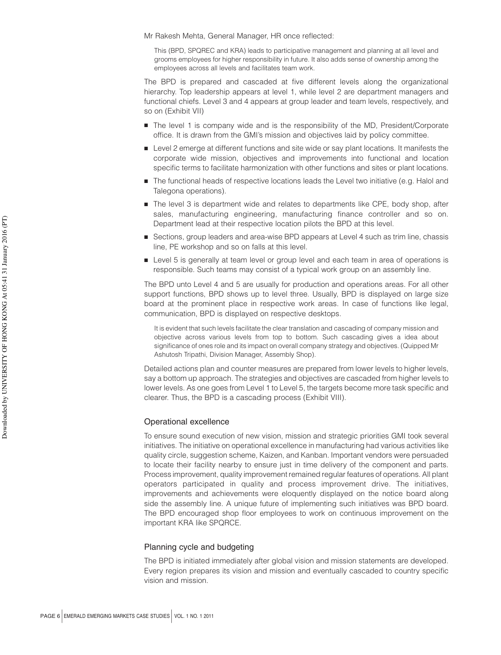Mr Rakesh Mehta, General Manager, HR once reflected:

This (BPD, SPQREC and KRA) leads to participative management and planning at all level and grooms employees for higher responsibility in future. It also adds sense of ownership among the employees across all levels and facilitates team work.

The BPD is prepared and cascaded at five different levels along the organizational hierarchy. Top leadership appears at level 1, while level 2 are department managers and functional chiefs. Level 3 and 4 appears at group leader and team levels, respectively, and so on (Exhibit VII)

- The level 1 is company wide and is the responsibility of the MD, President/Corporate office. It is drawn from the GMI's mission and objectives laid by policy committee.
- **EXECUTE:** Level 2 emerge at different functions and site wide or say plant locations. It manifests the corporate wide mission, objectives and improvements into functional and location specific terms to facilitate harmonization with other functions and sites or plant locations.
- **B** The functional heads of respective locations leads the Level two initiative (e.g. Halol and Talegona operations).
- **F** The level 3 is department wide and relates to departments like CPE, body shop, after sales, manufacturing engineering, manufacturing finance controller and so on. Department lead at their respective location pilots the BPD at this level.
- **B** Sections, group leaders and area-wise BPD appears at Level 4 such as trim line, chassis line, PE workshop and so on falls at this level.
- **Example 1** Level 5 is generally at team level or group level and each team in area of operations is responsible. Such teams may consist of a typical work group on an assembly line.

The BPD unto Level 4 and 5 are usually for production and operations areas. For all other support functions, BPD shows up to level three. Usually, BPD is displayed on large size board at the prominent place in respective work areas. In case of functions like legal, communication, BPD is displayed on respective desktops.

It is evident that such levels facilitate the clear translation and cascading of company mission and objective across various levels from top to bottom. Such cascading gives a idea about significance of ones role and its impact on overall company strategy and objectives. (Quipped Mr Ashutosh Tripathi, Division Manager, Assembly Shop).

Detailed actions plan and counter measures are prepared from lower levels to higher levels, say a bottom up approach. The strategies and objectives are cascaded from higher levels to lower levels. As one goes from Level 1 to Level 5, the targets become more task specific and clearer. Thus, the BPD is a cascading process (Exhibit VIII).

#### Operational excellence

To ensure sound execution of new vision, mission and strategic priorities GMI took several initiatives. The initiative on operational excellence in manufacturing had various activities like quality circle, suggestion scheme, Kaizen, and Kanban. Important vendors were persuaded to locate their facility nearby to ensure just in time delivery of the component and parts. Process improvement, quality improvement remained regular features of operations. All plant operators participated in quality and process improvement drive. The initiatives, improvements and achievements were eloquently displayed on the notice board along side the assembly line. A unique future of implementing such initiatives was BPD board. The BPD encouraged shop floor employees to work on continuous improvement on the important KRA like SPQRCE.

# Planning cycle and budgeting

The BPD is initiated immediately after global vision and mission statements are developed. Every region prepares its vision and mission and eventually cascaded to country specific vision and mission.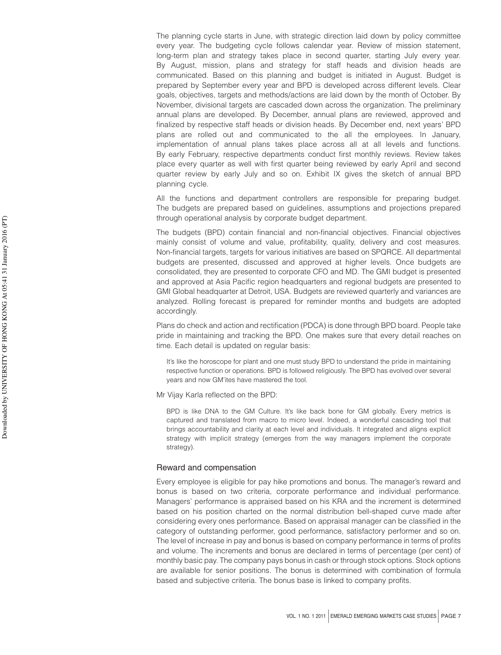The planning cycle starts in June, with strategic direction laid down by policy committee every year. The budgeting cycle follows calendar year. Review of mission statement, long-term plan and strategy takes place in second quarter, starting July every year. By August, mission, plans and strategy for staff heads and division heads are communicated. Based on this planning and budget is initiated in August. Budget is prepared by September every year and BPD is developed across different levels. Clear goals, objectives, targets and methods/actions are laid down by the month of October. By November, divisional targets are cascaded down across the organization. The preliminary annual plans are developed. By December, annual plans are reviewed, approved and finalized by respective staff heads or division heads. By December end, next years' BPD plans are rolled out and communicated to the all the employees. In January, implementation of annual plans takes place across all at all levels and functions. By early February, respective departments conduct first monthly reviews. Review takes place every quarter as well with first quarter being reviewed by early April and second quarter review by early July and so on. Exhibit IX gives the sketch of annual BPD planning cycle.

All the functions and department controllers are responsible for preparing budget. The budgets are prepared based on guidelines, assumptions and projections prepared through operational analysis by corporate budget department.

The budgets (BPD) contain financial and non-financial objectives. Financial objectives mainly consist of volume and value, profitability, quality, delivery and cost measures. Non-financial targets, targets for various initiatives are based on SPQRCE. All departmental budgets are presented, discussed and approved at higher levels. Once budgets are consolidated, they are presented to corporate CFO and MD. The GMI budget is presented and approved at Asia Pacific region headquarters and regional budgets are presented to GMI Global headquarter at Detroit, USA. Budgets are reviewed quarterly and variances are analyzed. Rolling forecast is prepared for reminder months and budgets are adopted accordingly.

Plans do check and action and rectification (PDCA) is done through BPD board. People take pride in maintaining and tracking the BPD. One makes sure that every detail reaches on time. Each detail is updated on regular basis:

It's like the horoscope for plant and one must study BPD to understand the pride in maintaining respective function or operations. BPD is followed religiously. The BPD has evolved over several years and now GM'ites have mastered the tool.

Mr Vijay Karla reflected on the BPD:

BPD is like DNA to the GM Culture. It's like back bone for GM globally. Every metrics is captured and translated from macro to micro level. Indeed, a wonderful cascading tool that brings accountability and clarity at each level and individuals. It integrated and aligns explicit strategy with implicit strategy (emerges from the way managers implement the corporate strategy).

# Reward and compensation

Every employee is eligible for pay hike promotions and bonus. The manager's reward and bonus is based on two criteria, corporate performance and individual performance. Managers' performance is appraised based on his KRA and the increment is determined based on his position charted on the normal distribution bell-shaped curve made after considering every ones performance. Based on appraisal manager can be classified in the category of outstanding performer, good performance, satisfactory performer and so on. The level of increase in pay and bonus is based on company performance in terms of profits and volume. The increments and bonus are declared in terms of percentage (per cent) of monthly basic pay. The company pays bonus in cash or through stock options. Stock options are available for senior positions. The bonus is determined with combination of formula based and subjective criteria. The bonus base is linked to company profits.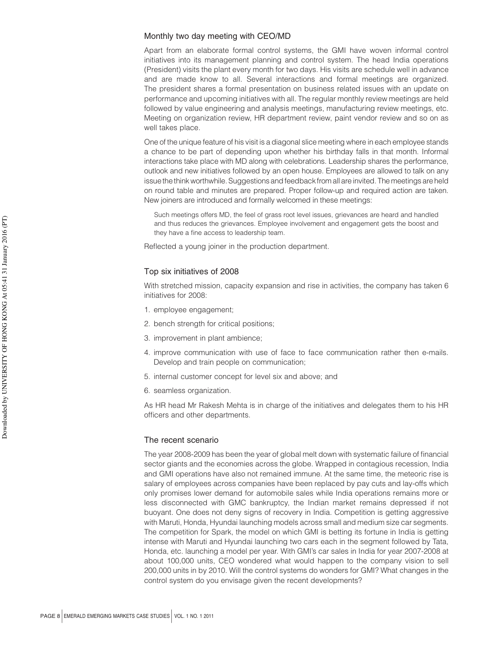## Monthly two day meeting with CEO/MD

Apart from an elaborate formal control systems, the GMI have woven informal control initiatives into its management planning and control system. The head India operations (President) visits the plant every month for two days. His visits are schedule well in advance and are made know to all. Several interactions and formal meetings are organized. The president shares a formal presentation on business related issues with an update on performance and upcoming initiatives with all. The regular monthly review meetings are held followed by value engineering and analysis meetings, manufacturing review meetings, etc. Meeting on organization review, HR department review, paint vendor review and so on as well takes place.

One of the unique feature of his visit is a diagonal slice meeting where in each employee stands a chance to be part of depending upon whether his birthday falls in that month. Informal interactions take place with MD along with celebrations. Leadership shares the performance, outlook and new initiatives followed by an open house. Employees are allowed to talk on any issue the think worthwhile. Suggestions and feedback from all are invited. The meetings are held on round table and minutes are prepared. Proper follow-up and required action are taken. New joiners are introduced and formally welcomed in these meetings:

Such meetings offers MD, the feel of grass root level issues, grievances are heard and handled and thus reduces the grievances. Employee involvement and engagement gets the boost and they have a fine access to leadership team.

Reflected a young joiner in the production department.

# Top six initiatives of 2008

With stretched mission, capacity expansion and rise in activities, the company has taken 6 initiatives for 2008:

- 1. employee engagement;
- 2. bench strength for critical positions;
- 3. improvement in plant ambience;
- 4. improve communication with use of face to face communication rather then e-mails. Develop and train people on communication;
- 5. internal customer concept for level six and above; and
- 6. seamless organization.

As HR head Mr Rakesh Mehta is in charge of the initiatives and delegates them to his HR officers and other departments.

# The recent scenario

The year 2008-2009 has been the year of global melt down with systematic failure of financial sector giants and the economies across the globe. Wrapped in contagious recession, India and GMI operations have also not remained immune. At the same time, the meteoric rise is salary of employees across companies have been replaced by pay cuts and lay-offs which only promises lower demand for automobile sales while India operations remains more or less disconnected with GMC bankruptcy, the Indian market remains depressed if not buoyant. One does not deny signs of recovery in India. Competition is getting aggressive with Maruti, Honda, Hyundai launching models across small and medium size car segments. The competition for Spark, the model on which GMI is betting its fortune in India is getting intense with Maruti and Hyundai launching two cars each in the segment followed by Tata, Honda, etc. launching a model per year. With GMI's car sales in India for year 2007-2008 at about 100,000 units, CEO wondered what would happen to the company vision to sell 200,000 units in by 2010. Will the control systems do wonders for GMI? What changes in the control system do you envisage given the recent developments?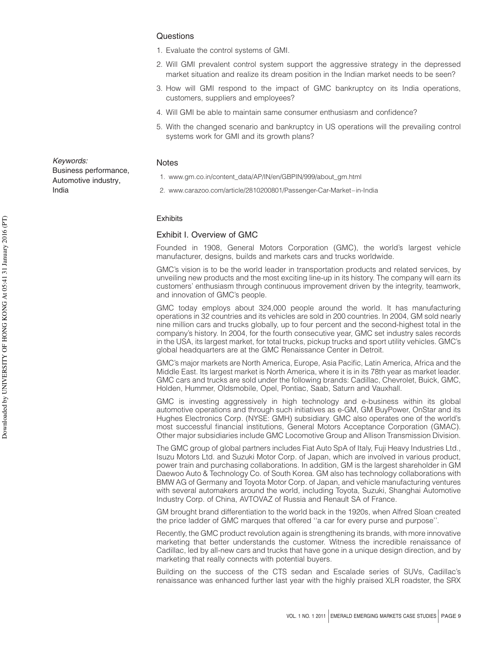# **Questions**

- 1. Evaluate the control systems of GMI.
- 2. Will GMI prevalent control system support the aggressive strategy in the depressed market situation and realize its dream position in the Indian market needs to be seen?
- 3. How will GMI respond to the impact of GMC bankruptcy on its India operations, customers, suppliers and employees?
- 4. Will GMI be able to maintain same consumer enthusiasm and confidence?
- 5. With the changed scenario and bankruptcy in US operations will the prevailing control systems work for GMI and its growth plans?

#### **Notes**

- 1. www.gm.co.in/content\_data/AP/IN/en/GBPIN/999/about\_gm.html
- 2. www.carazoo.com/article/2810200801/Passenger-Car-Market–in-India

#### **Exhibits**

# Exhibit I. Overview of GMC

Founded in 1908, General Motors Corporation (GMC), the world's largest vehicle manufacturer, designs, builds and markets cars and trucks worldwide.

GMC's vision is to be the world leader in transportation products and related services, by unveiling new products and the most exciting line-up in its history. The company will earn its customers' enthusiasm through continuous improvement driven by the integrity, teamwork, and innovation of GMC's people.

GMC today employs about 324,000 people around the world. It has manufacturing operations in 32 countries and its vehicles are sold in 200 countries. In 2004, GM sold nearly nine million cars and trucks globally, up to four percent and the second-highest total in the company's history. In 2004, for the fourth consecutive year, GMC set industry sales records in the USA, its largest market, for total trucks, pickup trucks and sport utility vehicles. GMC's global headquarters are at the GMC Renaissance Center in Detroit.

GMC's major markets are North America, Europe, Asia Pacific, Latin America, Africa and the Middle East. Its largest market is North America, where it is in its 78th year as market leader. GMC cars and trucks are sold under the following brands: Cadillac, Chevrolet, Buick, GMC, Holden, Hummer, Oldsmobile, Opel, Pontiac, Saab, Saturn and Vauxhall.

GMC is investing aggressively in high technology and e-business within its global automotive operations and through such initiatives as e-GM, GM BuyPower, OnStar and its Hughes Electronics Corp. (NYSE: GMH) subsidiary. GMC also operates one of the world's most successful financial institutions, General Motors Acceptance Corporation (GMAC). Other major subsidiaries include GMC Locomotive Group and Allison Transmission Division.

The GMC group of global partners includes Fiat Auto SpA of Italy, Fuji Heavy Industries Ltd., Isuzu Motors Ltd. and Suzuki Motor Corp. of Japan, which are involved in various product, power train and purchasing collaborations. In addition, GM is the largest shareholder in GM Daewoo Auto & Technology Co. of South Korea. GM also has technology collaborations with BMW AG of Germany and Toyota Motor Corp. of Japan, and vehicle manufacturing ventures with several automakers around the world, including Toyota, Suzuki, Shanghai Automotive Industry Corp. of China, AVTOVAZ of Russia and Renault SA of France.

GM brought brand differentiation to the world back in the 1920s, when Alfred Sloan created the price ladder of GMC marques that offered ''a car for every purse and purpose''.

Recently, the GMC product revolution again is strengthening its brands, with more innovative marketing that better understands the customer. Witness the incredible renaissance of Cadillac, led by all-new cars and trucks that have gone in a unique design direction, and by marketing that really connects with potential buyers.

Building on the success of the CTS sedan and Escalade series of SUVs, Cadillac's renaissance was enhanced further last year with the highly praised XLR roadster, the SRX

Keywords: Business performance, Automotive industry, India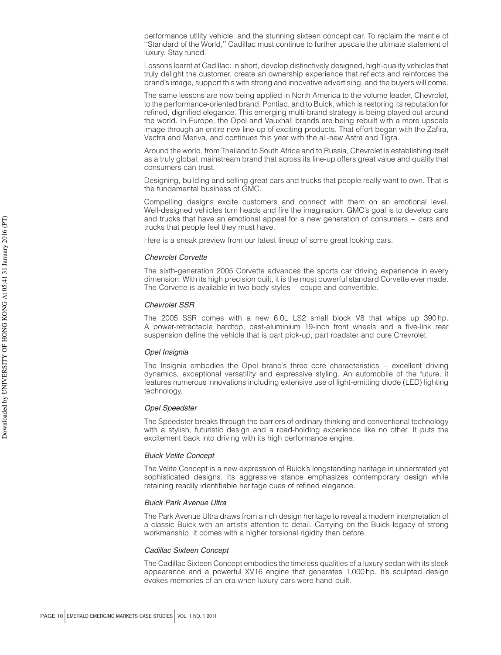performance utility vehicle, and the stunning sixteen concept car. To reclaim the mantle of 'Standard of the World," Cadillac must continue to further upscale the ultimate statement of luxury. Stay tuned.

Lessons learnt at Cadillac: in short, develop distinctively designed, high-quality vehicles that truly delight the customer, create an ownership experience that reflects and reinforces the brand's image, support this with strong and innovative advertising, and the buyers will come.

The same lessons are now being applied in North America to the volume leader, Chevrolet, to the performance-oriented brand, Pontiac, and to Buick, which is restoring its reputation for refined, dignified elegance. This emerging multi-brand strategy is being played out around the world. In Europe, the Opel and Vauxhall brands are being rebuilt with a more upscale image through an entire new line-up of exciting products. That effort began with the Zafira, Vectra and Meriva, and continues this year with the all-new Astra and Tigra.

Around the world, from Thailand to South Africa and to Russia, Chevrolet is establishing itself as a truly global, mainstream brand that across its line-up offers great value and quality that consumers can trust.

Designing, building and selling great cars and trucks that people really want to own. That is the fundamental business of GMC.

Compelling designs excite customers and connect with them on an emotional level. Well-designed vehicles turn heads and fire the imagination. GMC's goal is to develop cars and trucks that have an emotional appeal for a new generation of consumers – cars and trucks that people feel they must have.

Here is a sneak preview from our latest lineup of some great looking cars.

#### Chevrolet Corvette

The sixth-generation 2005 Corvette advances the sports car driving experience in every dimension. With its high precision built, it is the most powerful standard Corvette ever made. The Corvette is available in two body styles – coupe and convertible.

# Chevrolet SSR

The 2005 SSR comes with a new 6.0L LS2 small block V8 that whips up 390 hp. A power-retractable hardtop, cast-aluminium 19-inch front wheels and a five-link rear suspension define the vehicle that is part pick-up, part roadster and pure Chevrolet.

# Opel Insignia

The Insignia embodies the Opel brand's three core characteristics – excellent driving dynamics, exceptional versatility and expressive styling. An automobile of the future, it features numerous innovations including extensive use of light-emitting diode (LED) lighting technology.

#### Opel Speedster

The Speedster breaks through the barriers of ordinary thinking and conventional technology with a stylish, futuristic design and a road-holding experience like no other. It puts the excitement back into driving with its high performance engine.

#### Buick Velite Concept

The Velite Concept is a new expression of Buick's longstanding heritage in understated yet sophisticated designs. Its aggressive stance emphasizes contemporary design while retaining readily identifiable heritage cues of refined elegance.

## Buick Park Avenue Ultra

The Park Avenue Ultra draws from a rich design heritage to reveal a modern interpretation of a classic Buick with an artist's attention to detail. Carrying on the Buick legacy of strong workmanship, it comes with a higher torsional rigidity than before.

#### Cadillac Sixteen Concept

The Cadillac Sixteen Concept embodies the timeless qualities of a luxury sedan with its sleek appearance and a powerful XV16 engine that generates 1,000 hp. It's sculpted design evokes memories of an era when luxury cars were hand built.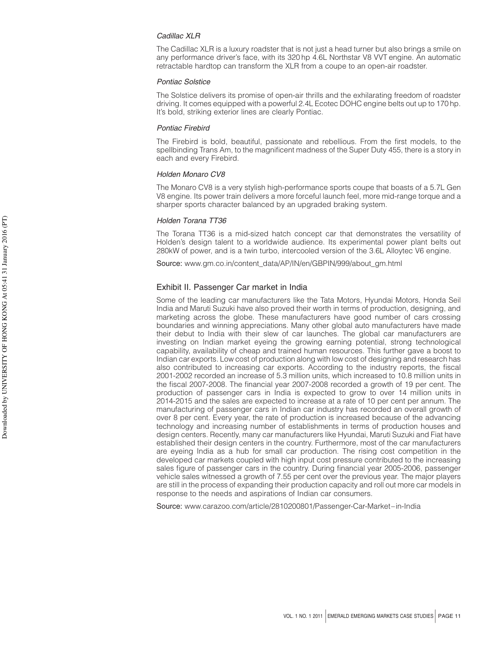# Cadillac XLR

The Cadillac XLR is a luxury roadster that is not just a head turner but also brings a smile on any performance driver's face, with its 320 hp 4.6L Northstar V8 VVT engine. An automatic retractable hardtop can transform the XLR from a coupe to an open-air roadster.

#### Pontiac Solstice

The Solstice delivers its promise of open-air thrills and the exhilarating freedom of roadster driving. It comes equipped with a powerful 2.4L Ecotec DOHC engine belts out up to 170 hp. It's bold, striking exterior lines are clearly Pontiac.

#### Pontiac Firebird

The Firebird is bold, beautiful, passionate and rebellious. From the first models, to the spellbinding Trans Am, to the magnificent madness of the Super Duty 455, there is a story in each and every Firebird.

#### Holden Monaro CV8

The Monaro CV8 is a very stylish high-performance sports coupe that boasts of a 5.7L Gen V8 engine. Its power train delivers a more forceful launch feel, more mid-range torque and a sharper sports character balanced by an upgraded braking system.

## Holden Torana TT36

The Torana TT36 is a mid-sized hatch concept car that demonstrates the versatility of Holden's design talent to a worldwide audience. Its experimental power plant belts out 280kW of power, and is a twin turbo, intercooled version of the 3.6L Alloytec V6 engine.

Source: www.gm.co.in/content\_data/AP/IN/en/GBPIN/999/about\_gm.html

#### Exhibit II. Passenger Car market in India

Some of the leading car manufacturers like the Tata Motors, Hyundai Motors, Honda Seil India and Maruti Suzuki have also proved their worth in terms of production, designing, and marketing across the globe. These manufacturers have good number of cars crossing boundaries and winning appreciations. Many other global auto manufacturers have made their debut to India with their slew of car launches. The global car manufacturers are investing on Indian market eyeing the growing earning potential, strong technological capability, availability of cheap and trained human resources. This further gave a boost to Indian car exports. Low cost of production along with low cost of designing and research has also contributed to increasing car exports. According to the industry reports, the fiscal 2001-2002 recorded an increase of 5.3 million units, which increased to 10.8 million units in the fiscal 2007-2008. The financial year 2007-2008 recorded a growth of 19 per cent. The production of passenger cars in India is expected to grow to over 14 million units in 2014-2015 and the sales are expected to increase at a rate of 10 per cent per annum. The manufacturing of passenger cars in Indian car industry has recorded an overall growth of over 8 per cent. Every year, the rate of production is increased because of the advancing technology and increasing number of establishments in terms of production houses and design centers. Recently, many car manufacturers like Hyundai, Maruti Suzuki and Fiat have established their design centers in the country. Furthermore, most of the car manufacturers are eyeing India as a hub for small car production. The rising cost competition in the developed car markets coupled with high input cost pressure contributed to the increasing sales figure of passenger cars in the country. During financial year 2005-2006, passenger vehicle sales witnessed a growth of 7.55 per cent over the previous year. The major players are still in the process of expanding their production capacity and roll out more car models in response to the needs and aspirations of Indian car consumers.

Source: www.carazoo.com/article/2810200801/Passenger-Car-Market–in-India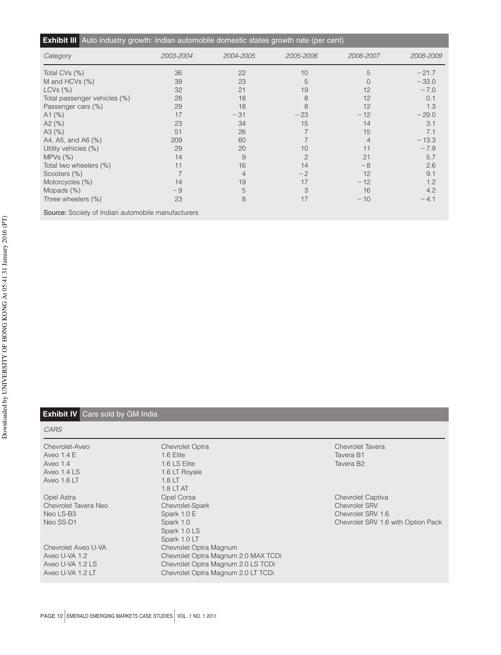| Category                     | 2003-2004 | 2004-2005      | 2005-2006      | 2006-2007      | 2008-2009 |
|------------------------------|-----------|----------------|----------------|----------------|-----------|
| Total CVs (%)                | 36        | 22             | 10             | 5              | $-21.7$   |
| M and HCVs (%)               | 39        | 23             | 5              | $\overline{0}$ | $-33.0$   |
| $LCVs$ $(\%)$                | 32        | 21             | 19             | 12             | $-7.0$    |
| Total passenger vehicles (%) | 28        | 18             | 8              | 12             | 0.1       |
| Passenger cars (%)           | 29        | 18             | 8              | 12             | 1.3       |
| A1 $(%)$                     | 17        | $-31$          | $-23$          | $-12$          | $-29.0$   |
| A2(%)                        | 23        | 34             | 15             | 14             | 3.1       |
| A3(%)                        | 51        | 26             |                | 15             | 7.1       |
| A4, A5, and A6 (%)           | 209       | 60             |                | 4              | $-13.3$   |
| Utility vehicles (%)         | 29        | 20             | 10             | 11             | $-7.9$    |
| $MPVs$ $(\%)$                | 14        | 9              | $\overline{2}$ | 21             | 5.7       |
| Total two wheelers (%)       | 11        | 16             | 14             | $-8$           | 2.6       |
| Scooters (%)                 |           | $\overline{4}$ | $-2$           | 12             | 9.1       |
| Motorcycles (%)              | 14        | 19             | 17             | $-12$          | 1.2       |
| Mopads (%)                   | $-9$      | 5              | 3              | 16             | 4.2       |
| Three wheelers (%)           | 23        | 8              | 17             | $-10$          | $-4.1$    |

# **Exhibit IV** Cars sold by GM India

# CARS

| Chevrolet-Aveo       | <b>Chevrolet Optra</b>              | Chevrolet Tavera                   |  |  |  |  |  |
|----------------------|-------------------------------------|------------------------------------|--|--|--|--|--|
| Aveo 1.4 E           | 1.6 Elite                           | Tavera B1                          |  |  |  |  |  |
| Aveo 1.4             | 1.6 LS Elite                        | Tavera B <sub>2</sub>              |  |  |  |  |  |
| Aveo 1.4 LS          | 1.6 LT Royale                       |                                    |  |  |  |  |  |
| Aveo 1.6 LT          | 1.8 <sub>LT</sub>                   |                                    |  |  |  |  |  |
|                      | $1.8$ LT AT                         |                                    |  |  |  |  |  |
| Opel Astra           | Opel Corsa                          | Chevrolet Captiva                  |  |  |  |  |  |
| Chevrolet Tavera Neo | Chevrolet-Spark                     | <b>Chevrolet SRV</b>               |  |  |  |  |  |
| Neo LS-B3            | Spark 1.0 E                         | Chevrolet SRV 1.6                  |  |  |  |  |  |
| Neo SS-D1            | Spark 1.0                           | Chevrolet SRV 1.6 with Option Pack |  |  |  |  |  |
|                      | Spark 1.0 LS                        |                                    |  |  |  |  |  |
|                      | Spark 1.0 LT                        |                                    |  |  |  |  |  |
| Chevrolet Aveo U-VA  | Chevrolet Optra Magnum              |                                    |  |  |  |  |  |
| Aveo U-VA 1.2        | Chevrolet Optra Magnum 2.0 MAX TCDi |                                    |  |  |  |  |  |
| Aveo U-VA 1.2 LS     | Chevrolet Optra Magnum 2.0 LS TCDi  |                                    |  |  |  |  |  |
| Aveo U-VA 1.2 LT     | Chevrolet Optra Magnum 2.0 LT TCDi  |                                    |  |  |  |  |  |
|                      |                                     |                                    |  |  |  |  |  |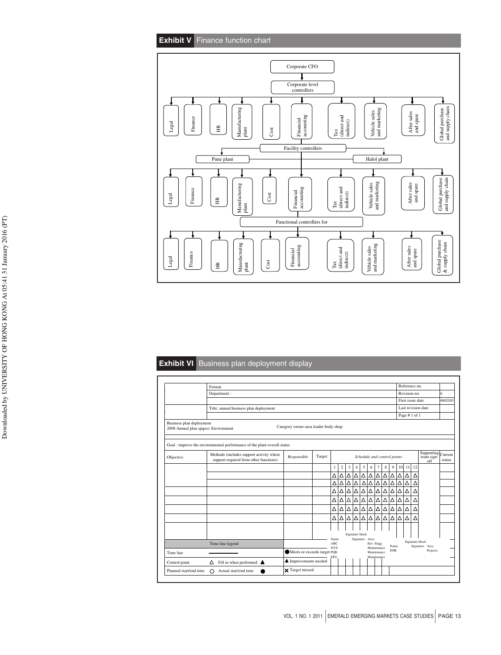# **Exhibit V** Finance function chart



# **Exhibit VI** Business plan deployment display

|                                                                  | Format                                                                             |                                      |        |                                           |                                               |   |                |   |    | Reference no. |                    |                  |                                 |                                   |          |              |  |
|------------------------------------------------------------------|------------------------------------------------------------------------------------|--------------------------------------|--------|-------------------------------------------|-----------------------------------------------|---|----------------|---|----|---------------|--------------------|------------------|---------------------------------|-----------------------------------|----------|--------------|--|
|                                                                  | Department:                                                                        |                                      |        |                                           |                                               |   |                |   |    |               |                    | Revision no.     |                                 |                                   |          | <sub>0</sub> |  |
|                                                                  |                                                                                    |                                      |        |                                           |                                               |   |                |   |    |               |                    | First issue date |                                 |                                   |          | 08/02/05     |  |
|                                                                  | Title: annual business plan deployment                                             |                                      |        |                                           |                                               |   |                |   |    |               | Last revision date |                  |                                 |                                   |          |              |  |
|                                                                  |                                                                                    |                                      |        |                                           |                                               |   |                |   |    |               |                    | Page #1 of 1     |                                 |                                   |          |              |  |
| Business plan deployment<br>2008 Annual plan spqrce: Environment |                                                                                    | Category owner-area leader-body shop |        |                                           |                                               |   |                |   |    |               |                    |                  |                                 |                                   |          |              |  |
|                                                                  | Goal : improve the environmental performance of the plant overall status           |                                      |        |                                           |                                               |   |                |   |    |               |                    |                  |                                 |                                   |          |              |  |
| Objective                                                        | Methods (includes support activity where<br>support required from other functions) | Responsible                          | Target | Schedule and control points               |                                               |   |                |   |    |               |                    |                  | Supporting<br>team sign-<br>off | Current<br>status                 |          |              |  |
|                                                                  |                                                                                    |                                      |        | 1                                         | $\,2$                                         | 3 | $\overline{4}$ | 5 | 6  | 7             | 8                  | 9                | 10 <sup>1</sup>                 | 11                                | 12       |              |  |
|                                                                  |                                                                                    |                                      |        | Δ                                         | Δ                                             | Δ | Δ              | Δ | Δ  | Δ             | Δ                  | Δ                | Δ                               | Δ                                 | Δ        |              |  |
|                                                                  |                                                                                    |                                      |        | Δ                                         | Δ                                             | Δ | Δ              | Δ | lΔ | Δ             | Δ                  | Δ                | Δ                               | Δ                                 | Δ        |              |  |
|                                                                  |                                                                                    |                                      |        | Δ                                         | Δ                                             | Δ | Δ              | Δ | Δ  | Δ             | Δ                  | Δ                | Δ                               | Δ                                 | Δ        |              |  |
|                                                                  |                                                                                    |                                      |        | Δ                                         | Δ                                             | Δ | Δ              | Δ | Δ  | Δ             | Δ                  | Δ                | Δ                               | Δ                                 | Δ        |              |  |
|                                                                  |                                                                                    |                                      |        | Δ                                         | Δ                                             | Δ | Δ              | Δ | Δ  | Δ             | Δ                  |                  | Δ                               | Δ                                 | Δ        |              |  |
|                                                                  |                                                                                    |                                      |        | Δ                                         | Δ                                             | Δ | Δ              | Δ | Δ  | Δ             | Δ                  | Δ                | Δ                               | Δ                                 | Δ        |              |  |
|                                                                  |                                                                                    |                                      |        |                                           |                                               |   |                |   |    |               |                    |                  |                                 |                                   |          |              |  |
|                                                                  |                                                                                    |                                      |        | Signature block<br>Signature Area<br>Name |                                               |   |                |   |    |               |                    |                  |                                 |                                   |          |              |  |
|                                                                  | Time-line legend                                                                   |                                      |        |                                           | ABC<br>Env. Engg<br><b>XYZ</b><br>Maintenance |   |                |   |    | Name          |                    |                  |                                 | Signature block<br>Signature Area |          |              |  |
| Time line                                                        |                                                                                    | Meets or exceeds target PQR          |        |                                           | Maintenance<br>Maintenance                    |   |                |   |    |               | <b>DSR</b>         |                  |                                 |                                   | Projects |              |  |
| Control point                                                    | Fill in when performed $\triangle$<br>Δ                                            | Improvements needed                  |        | <b>EFG</b>                                |                                               |   |                |   |    |               |                    |                  |                                 |                                   |          |              |  |
| Planned start/end time                                           | X Target missed<br>◯<br>Actual start/end time                                      |                                      |        |                                           |                                               |   |                |   |    |               |                    |                  |                                 |                                   |          |              |  |

Downloaded by UNIVERSITY OF HONG KONG At 05:41 31 January 2016 (PT) Downloaded by UNIVERSITY OF HONG KONG At 05:41 31 January 2016 (PT)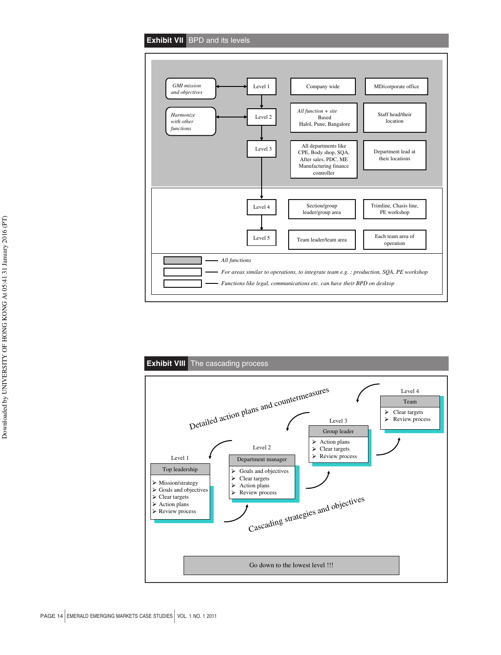